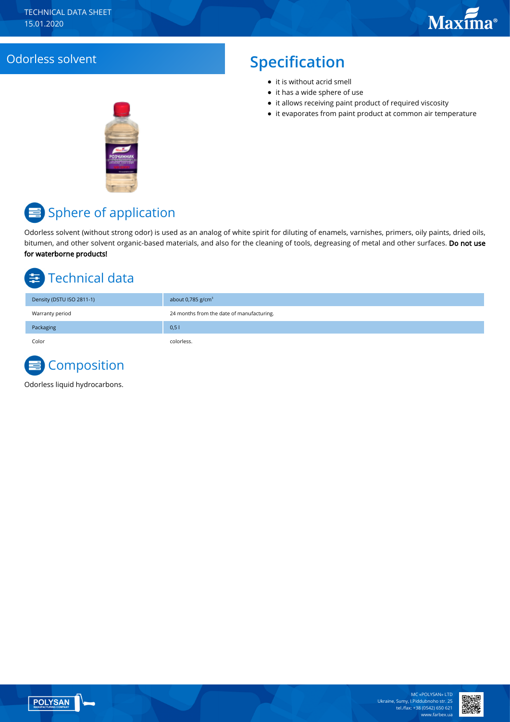#### Odorless solvent **Specification**

- $\bullet$  it is without acrid smell
- it has a wide sphere of use
- it allows receiving paint product of required viscosity
- it evaporates from paint product at common air temperature



# Sphere of application

Odorless solvent (without strong odor) is used as an analog of white spirit for diluting of enamels, varnishes, primers, oily paints, dried oils, bitumen, and other solvent organic-based materials, and also for the cleaning of tools, degreasing of metal and other surfaces. Do not use for waterborne products!

# Technical data

| Density (DSTU ISO 2811-1) | about 0,785 $g/cm3$                       |
|---------------------------|-------------------------------------------|
| Warranty period           | 24 months from the date of manufacturing. |
| Packaging                 | 0,51                                      |
| Color                     | colorless.                                |



Odorless liquid hydrocarbons.